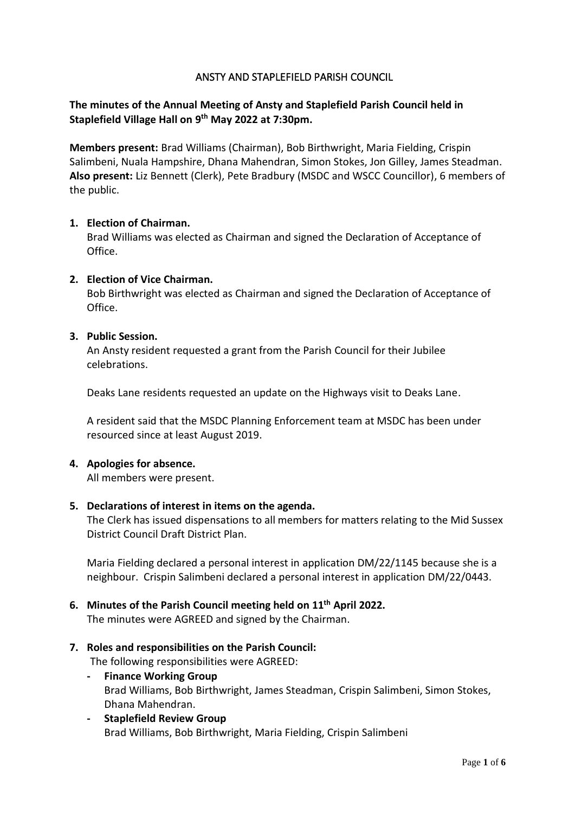## ANSTY AND STAPLEFIELD PARISH COUNCIL

# **The minutes of the Annual Meeting of Ansty and Staplefield Parish Council held in Staplefield Village Hall on 9 th May 2022 at 7:30pm.**

**Members present:** Brad Williams (Chairman), Bob Birthwright, Maria Fielding, Crispin Salimbeni, Nuala Hampshire, Dhana Mahendran, Simon Stokes, Jon Gilley, James Steadman. **Also present:** Liz Bennett (Clerk), Pete Bradbury (MSDC and WSCC Councillor), 6 members of the public.

#### **1. Election of Chairman.**

Brad Williams was elected as Chairman and signed the Declaration of Acceptance of Office.

#### **2. Election of Vice Chairman.**

Bob Birthwright was elected as Chairman and signed the Declaration of Acceptance of Office.

#### **3. Public Session.**

An Ansty resident requested a grant from the Parish Council for their Jubilee celebrations.

Deaks Lane residents requested an update on the Highways visit to Deaks Lane.

A resident said that the MSDC Planning Enforcement team at MSDC has been under resourced since at least August 2019.

#### **4. Apologies for absence.**

All members were present.

#### **5. Declarations of interest in items on the agenda.**

The Clerk has issued dispensations to all members for matters relating to the Mid Sussex District Council Draft District Plan.

Maria Fielding declared a personal interest in application DM/22/1145 because she is a neighbour. Crispin Salimbeni declared a personal interest in application DM/22/0443.

# **6. Minutes of the Parish Council meeting held on 11 th April 2022.**

The minutes were AGREED and signed by the Chairman.

#### **7. Roles and responsibilities on the Parish Council:**

The following responsibilities were AGREED:

- **- Finance Working Group** Brad Williams, Bob Birthwright, James Steadman, Crispin Salimbeni, Simon Stokes, Dhana Mahendran.
- **- Staplefield Review Group** Brad Williams, Bob Birthwright, Maria Fielding, Crispin Salimbeni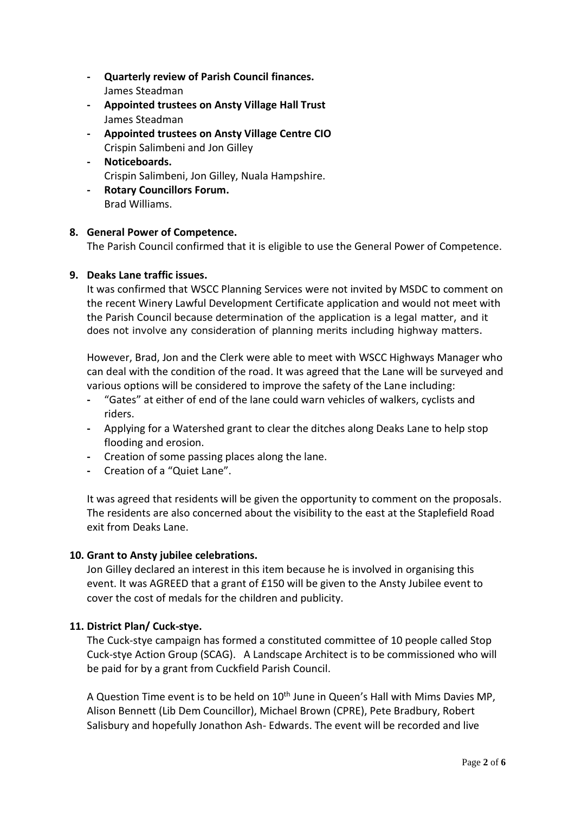- **- Quarterly review of Parish Council finances.** James Steadman
- **- Appointed trustees on Ansty Village Hall Trust** James Steadman
- **- Appointed trustees on Ansty Village Centre CIO** Crispin Salimbeni and Jon Gilley
- **- Noticeboards.** Crispin Salimbeni, Jon Gilley, Nuala Hampshire.
- **- Rotary Councillors Forum.**

Brad Williams.

# **8. General Power of Competence.**

The Parish Council confirmed that it is eligible to use the General Power of Competence.

# **9. Deaks Lane traffic issues.**

It was confirmed that WSCC Planning Services were not invited by MSDC to comment on the recent Winery Lawful Development Certificate application and would not meet with the Parish Council because determination of the application is a legal matter, and it does not involve any consideration of planning merits including highway matters.

However, Brad, Jon and the Clerk were able to meet with WSCC Highways Manager who can deal with the condition of the road. It was agreed that the Lane will be surveyed and various options will be considered to improve the safety of the Lane including:

- **-** "Gates" at either of end of the lane could warn vehicles of walkers, cyclists and riders.
- **-** Applying for a Watershed grant to clear the ditches along Deaks Lane to help stop flooding and erosion.
- **-** Creation of some passing places along the lane.
- **-** Creation of a "Quiet Lane".

It was agreed that residents will be given the opportunity to comment on the proposals. The residents are also concerned about the visibility to the east at the Staplefield Road exit from Deaks Lane.

# **10. Grant to Ansty jubilee celebrations.**

Jon Gilley declared an interest in this item because he is involved in organising this event. It was AGREED that a grant of £150 will be given to the Ansty Jubilee event to cover the cost of medals for the children and publicity.

# **11. District Plan/ Cuck-stye.**

The Cuck-stye campaign has formed a constituted committee of 10 people called Stop Cuck-stye Action Group (SCAG). A Landscape Architect is to be commissioned who will be paid for by a grant from Cuckfield Parish Council.

A Question Time event is to be held on 10<sup>th</sup> June in Queen's Hall with Mims Davies MP, Alison Bennett (Lib Dem Councillor), Michael Brown (CPRE), Pete Bradbury, Robert Salisbury and hopefully Jonathon Ash- Edwards. The event will be recorded and live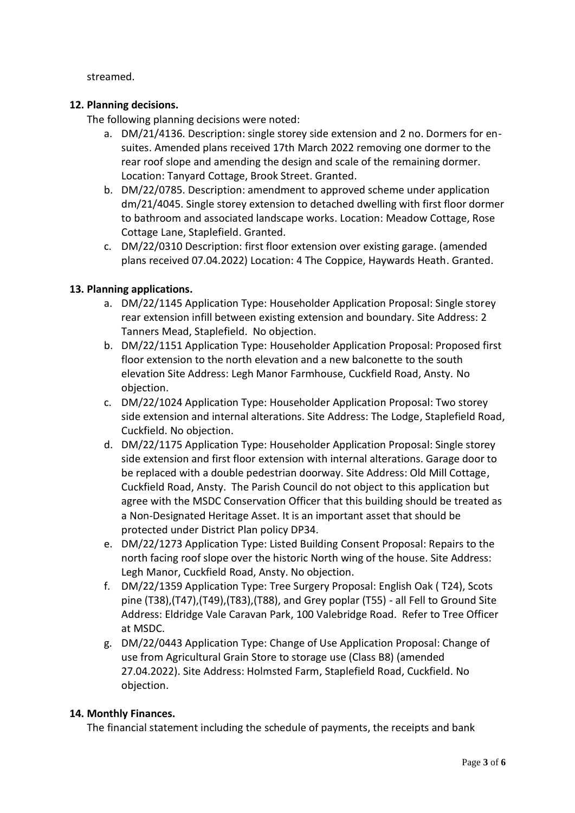streamed.

## **12. Planning decisions.**

The following planning decisions were noted:

- a. DM/21/4136. Description: single storey side extension and 2 no. Dormers for ensuites. Amended plans received 17th March 2022 removing one dormer to the rear roof slope and amending the design and scale of the remaining dormer. Location: Tanyard Cottage, Brook Street. Granted.
- b. DM/22/0785. Description: amendment to approved scheme under application dm/21/4045. Single storey extension to detached dwelling with first floor dormer to bathroom and associated landscape works. Location: Meadow Cottage, Rose Cottage Lane, Staplefield. Granted.
- c. DM/22/0310 Description: first floor extension over existing garage. (amended plans received 07.04.2022) Location: 4 The Coppice, Haywards Heath. Granted.

## **13. Planning applications.**

- a. DM/22/1145 Application Type: Householder Application Proposal: Single storey rear extension infill between existing extension and boundary. Site Address: 2 Tanners Mead, Staplefield. No objection.
- b. DM/22/1151 Application Type: Householder Application Proposal: Proposed first floor extension to the north elevation and a new balconette to the south elevation Site Address: Legh Manor Farmhouse, Cuckfield Road, Ansty. No objection.
- c. DM/22/1024 Application Type: Householder Application Proposal: Two storey side extension and internal alterations. Site Address: The Lodge, Staplefield Road, Cuckfield. No objection.
- d. DM/22/1175 Application Type: Householder Application Proposal: Single storey side extension and first floor extension with internal alterations. Garage door to be replaced with a double pedestrian doorway. Site Address: Old Mill Cottage, Cuckfield Road, Ansty. The Parish Council do not object to this application but agree with the MSDC Conservation Officer that this building should be treated as a Non-Designated Heritage Asset. It is an important asset that should be protected under District Plan policy DP34.
- e. DM/22/1273 Application Type: Listed Building Consent Proposal: Repairs to the north facing roof slope over the historic North wing of the house. Site Address: Legh Manor, Cuckfield Road, Ansty. No objection.
- f. DM/22/1359 Application Type: Tree Surgery Proposal: English Oak ( T24), Scots pine (T38),(T47),(T49),(T83),(T88), and Grey poplar (T55) - all Fell to Ground Site Address: Eldridge Vale Caravan Park, 100 Valebridge Road. Refer to Tree Officer at MSDC.
- g. DM/22/0443 Application Type: Change of Use Application Proposal: Change of use from Agricultural Grain Store to storage use (Class B8) (amended 27.04.2022). Site Address: Holmsted Farm, Staplefield Road, Cuckfield. No objection.

## **14. Monthly Finances.**

The financial statement including the schedule of payments, the receipts and bank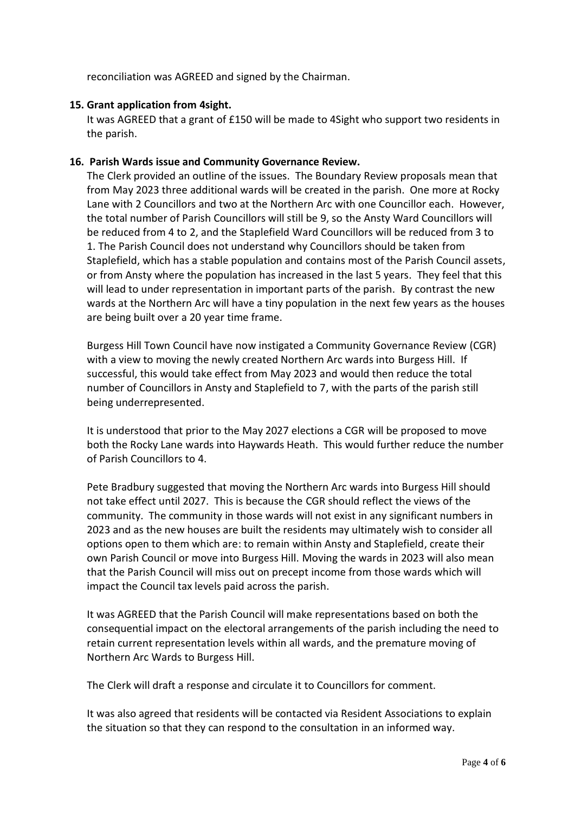reconciliation was AGREED and signed by the Chairman.

## **15. Grant application from 4sight.**

It was AGREED that a grant of £150 will be made to 4Sight who support two residents in the parish.

## **16. Parish Wards issue and Community Governance Review.**

The Clerk provided an outline of the issues. The Boundary Review proposals mean that from May 2023 three additional wards will be created in the parish. One more at Rocky Lane with 2 Councillors and two at the Northern Arc with one Councillor each. However, the total number of Parish Councillors will still be 9, so the Ansty Ward Councillors will be reduced from 4 to 2, and the Staplefield Ward Councillors will be reduced from 3 to 1. The Parish Council does not understand why Councillors should be taken from Staplefield, which has a stable population and contains most of the Parish Council assets, or from Ansty where the population has increased in the last 5 years. They feel that this will lead to under representation in important parts of the parish. By contrast the new wards at the Northern Arc will have a tiny population in the next few years as the houses are being built over a 20 year time frame.

Burgess Hill Town Council have now instigated a Community Governance Review (CGR) with a view to moving the newly created Northern Arc wards into Burgess Hill. If successful, this would take effect from May 2023 and would then reduce the total number of Councillors in Ansty and Staplefield to 7, with the parts of the parish still being underrepresented.

It is understood that prior to the May 2027 elections a CGR will be proposed to move both the Rocky Lane wards into Haywards Heath. This would further reduce the number of Parish Councillors to 4.

Pete Bradbury suggested that moving the Northern Arc wards into Burgess Hill should not take effect until 2027. This is because the CGR should reflect the views of the community. The community in those wards will not exist in any significant numbers in 2023 and as the new houses are built the residents may ultimately wish to consider all options open to them which are: to remain within Ansty and Staplefield, create their own Parish Council or move into Burgess Hill. Moving the wards in 2023 will also mean that the Parish Council will miss out on precept income from those wards which will impact the Council tax levels paid across the parish.

It was AGREED that the Parish Council will make representations based on both the consequential impact on the electoral arrangements of the parish including the need to retain current representation levels within all wards, and the premature moving of Northern Arc Wards to Burgess Hill.

The Clerk will draft a response and circulate it to Councillors for comment.

It was also agreed that residents will be contacted via Resident Associations to explain the situation so that they can respond to the consultation in an informed way.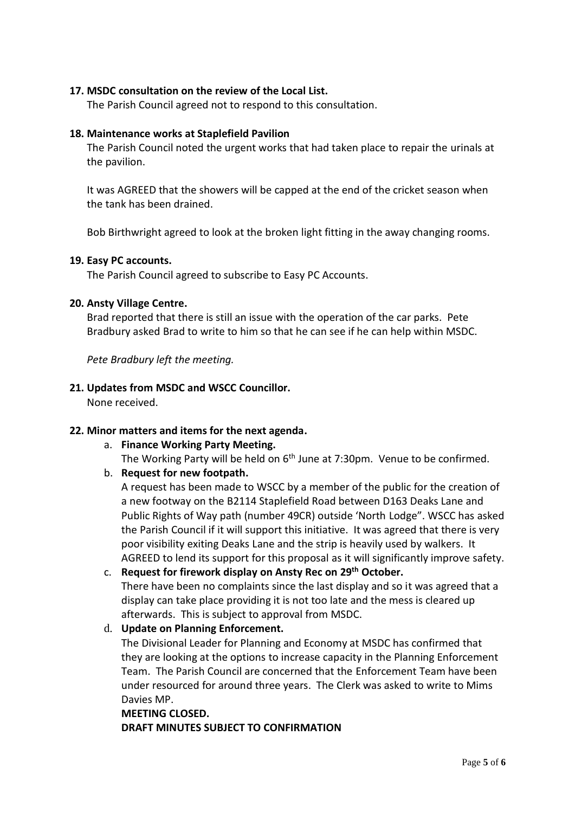## **17. MSDC consultation on the review of the Local List.**

The Parish Council agreed not to respond to this consultation.

## **18. Maintenance works at Staplefield Pavilion**

The Parish Council noted the urgent works that had taken place to repair the urinals at the pavilion.

It was AGREED that the showers will be capped at the end of the cricket season when the tank has been drained.

Bob Birthwright agreed to look at the broken light fitting in the away changing rooms.

## **19. Easy PC accounts.**

The Parish Council agreed to subscribe to Easy PC Accounts.

## **20. Ansty Village Centre.**

Brad reported that there is still an issue with the operation of the car parks. Pete Bradbury asked Brad to write to him so that he can see if he can help within MSDC.

*Pete Bradbury left the meeting.*

## **21. Updates from MSDC and WSCC Councillor.**

None received.

## **22. Minor matters and items for the next agenda.**

a. **Finance Working Party Meeting.**

The Working Party will be held on  $6<sup>th</sup>$  June at 7:30pm. Venue to be confirmed.

## b. **Request for new footpath.**

A request has been made to WSCC by a member of the public for the creation of a new footway on the B2114 Staplefield Road between D163 Deaks Lane and Public Rights of Way path (number 49CR) outside 'North Lodge". WSCC has asked the Parish Council if it will support this initiative. It was agreed that there is very poor visibility exiting Deaks Lane and the strip is heavily used by walkers. It AGREED to lend its support for this proposal as it will significantly improve safety.

- c. **Request for firework display on Ansty Rec on 29th October.** There have been no complaints since the last display and so it was agreed that a display can take place providing it is not too late and the mess is cleared up afterwards. This is subject to approval from MSDC.
- d. **Update on Planning Enforcement.**

The Divisional Leader for Planning and Economy at MSDC has confirmed that they are looking at the options to increase capacity in the Planning Enforcement Team. The Parish Council are concerned that the Enforcement Team have been under resourced for around three years. The Clerk was asked to write to Mims Davies MP.

#### **MEETING CLOSED.**

**DRAFT MINUTES SUBJECT TO CONFIRMATION**